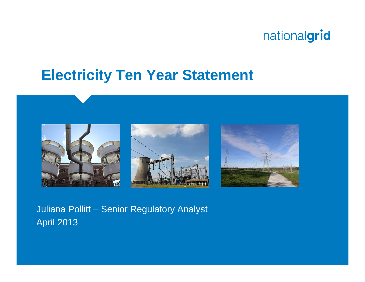## **Electricity Ten Year Statement**



Juliana Pollitt – Senior Regulatory Analyst April 2013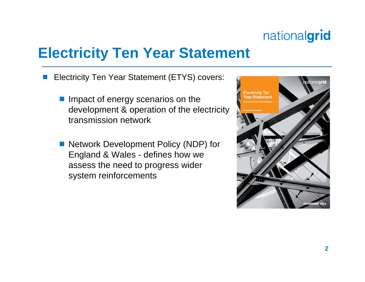# **Electricity Ten Year Statement**

- b. Electricity Ten Year Statement (ETYS) covers:
	- **Impact of energy scenarios on the** development & operation of the electricity transmission network
	- Network Development Policy (NDP) for England & Wales - defines how we assess the need to progress wider system reinforcements

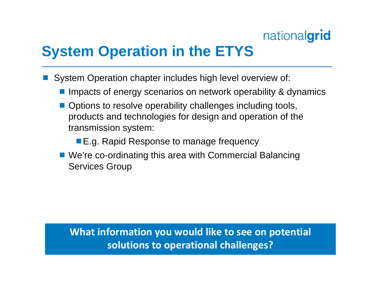# **System Operation in the ETYS**

- **Service Service**  System Operation chapter includes high level overview of:
	- **Impacts of energy scenarios on network operability & dynamics**
	- **Service Service**  Options to resolve operability challenges including tools, products and technologies for design and operation of the transmission system:
		- E.g. Rapid Response to manage frequency
	- We're co-ordinating this area with Commercial Balancing Services Group

#### **What information you would like to see on potential solutions to operational challenges?**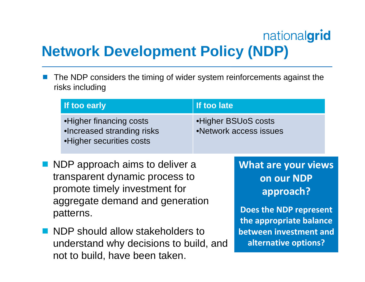# nationalgrid **Network Development Policy (NDP)**

**The Second**  The NDP considers the timing of wider system reinforcements against the risks including

|  | If too early                                                                                                                                                                                                                                                          | If too late |                                                                                                                                             |  |
|--|-----------------------------------------------------------------------------------------------------------------------------------------------------------------------------------------------------------------------------------------------------------------------|-------------|---------------------------------------------------------------------------------------------------------------------------------------------|--|
|  | • Higher financing costs<br>•Increased stranding risks<br>• Higher securities costs                                                                                                                                                                                   |             | •Higher BSUoS costs<br>•Network access issues                                                                                               |  |
|  | ■ NDP approach aims to deliver a<br>transparent dynamic process to<br>promote timely investment for<br>aggregate demand and generation<br>patterns.<br>■ NDP should allow stakeholders to<br>understand why decisions to build, and<br>not to build, have been taken. |             | <b>What are your views</b><br>on our NDP<br>approach?<br><b>Does the NDP represent</b><br>the appropriate balance<br>between investment and |  |
|  |                                                                                                                                                                                                                                                                       |             | alternative options?                                                                                                                        |  |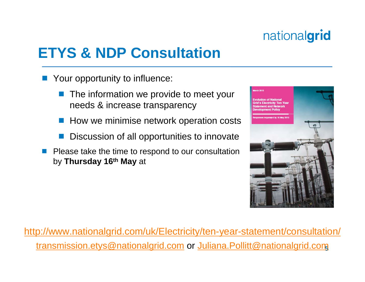# **ETYS & NDP Consultation**

- Your opportunity to influence:
	- The information we provide to meet your needs & increase transparency
	- How we minimise network operation costs
	- Discussion of all opportunities to innovate
- p. Please take the time to respond to our consultation by **Thursday 16th May** at



**5**transmission.etys@nationalgrid.com or Juliana.Pollitt@nationalgrid.comhttp://www.nationalgrid.com/uk/Electricity/ten-year-statement/consultation/